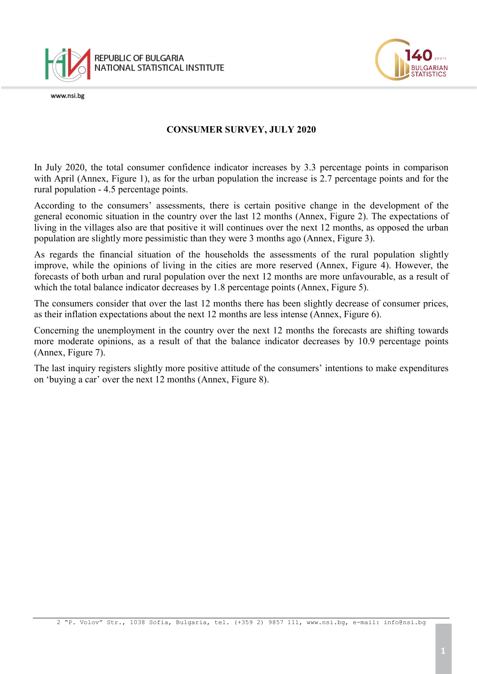

www.nsi.be



## **CONSUMER SURVEY, JULY 2020**

In July 2020, the total consumer confidence indicator increases by 3.3 percentage points in comparison with April (Annex, Figure 1), as for the urban population the increase is 2.7 percentage points and for the rural population - 4.5 percentage points.

According to the consumers' assessments, there is certain positive change in the development of the general economic situation in the country over the last 12 months (Annex, Figure 2). The expectations of living in the villages also are that positive it will continues over the next 12 months, as opposed the urban population are slightly more pessimistic than they were 3 months ago (Annex, Figure 3).

As regards the financial situation of the households the assessments of the rural population slightly improve, while the opinions of living in the cities are more reserved (Annex, Figure 4). However, the forecasts of both urban and rural population over the next 12 months are more unfavourable, as a result of which the total balance indicator decreases by 1.8 percentage points (Annex, Figure 5).

The consumers consider that over the last 12 months there has been slightly decrease of consumer prices, as their inflation expectations about the next 12 months are less intense (Annex, Figure 6).

Concerning the unemployment in the country over the next 12 months the forecasts are shifting towards more moderate opinions, as a result of that the balance indicator decreases by 10.9 percentage points (Annex, Figure 7).

The last inquiry registers slightly more positive attitude of the consumers' intentions to make expenditures on 'buying a car' over the next 12 months (Annex, Figure 8).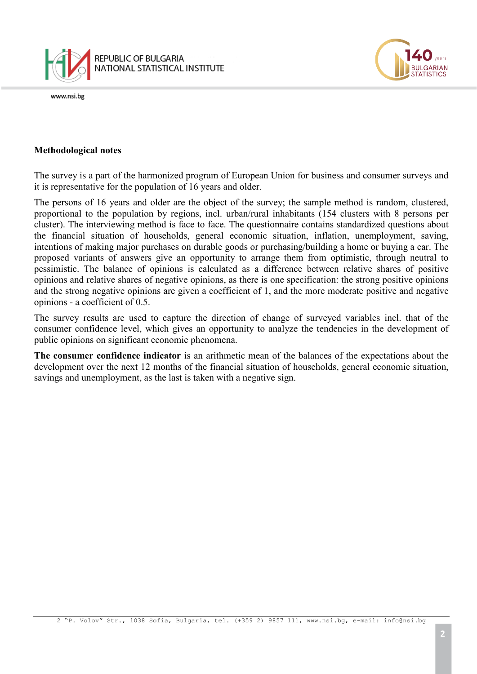



## **Methodological notes**

The survey is a part of the harmonized program of European Union for business and consumer surveys and it is representative for the population of 16 years and older.

The persons of 16 years and older are the object of the survey; the sample method is random, clustered, proportional to the population by regions, incl. urban/rural inhabitants (154 clusters with 8 persons per cluster). The interviewing method is face to face. The questionnaire contains standardized questions about the financial situation of households, general economic situation, inflation, unemployment, saving, intentions of making major purchases on durable goods or purchasing/building a home or buying a car. The proposed variants of answers give an opportunity to arrange them from optimistic, through neutral to pessimistic. The balance of opinions is calculated as a difference between relative shares of positive opinions and relative shares of negative opinions, as there is one specification: the strong positive opinions and the strong negative opinions are given a coefficient of 1, and the more moderate positive and negative opinions - a coefficient of 0.5.

The survey results are used to capture the direction of change of surveyed variables incl. that of the consumer confidence level, which gives an opportunity to analyze the tendencies in the development of public opinions on significant economic phenomena.

**The consumer confidence indicator** is an arithmetic mean of the balances of the expectations about the development over the next 12 months of the financial situation of households, general economic situation, savings and unemployment, as the last is taken with a negative sign.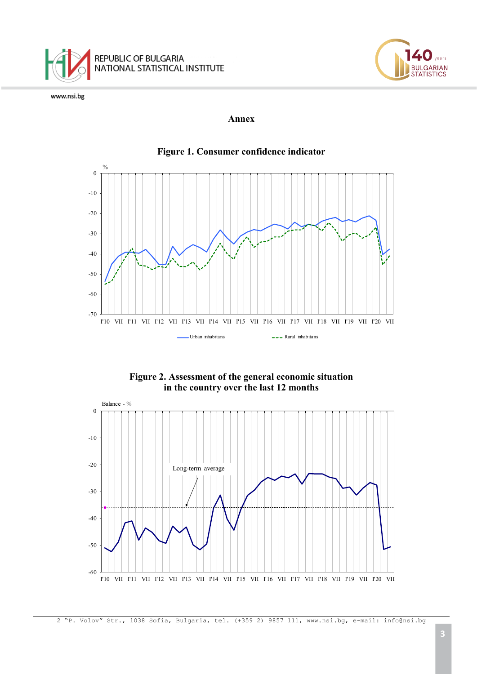



## **Annex**



**Figure 2. Assessment of the general economic situation in the country over the last 12 months**



2 "P. Volov" Str., 1038 Sofia, Bulgaria, tel. (+359 2) 9857 111, [www.nsi.bg,](http://www.nsi.bg/) e-mail: info@nsi.bg

**JLGARIAN STATISTICS**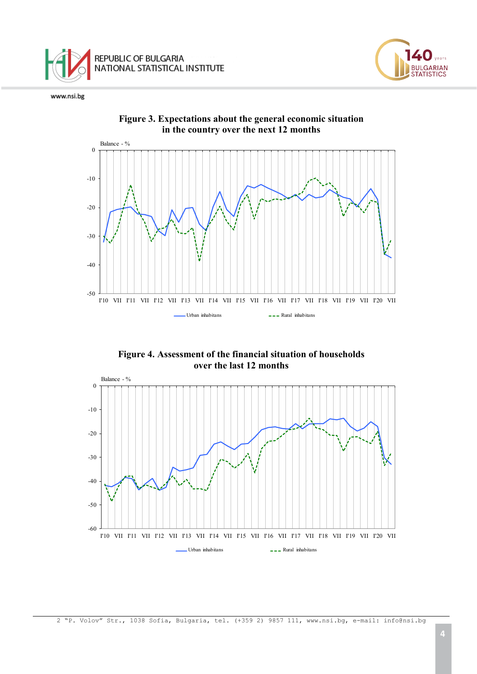



**Figure 4. Assessment of the financial situation of households over the last 12 months**



2 "P. Volov" Str., 1038 Sofia, Bulgaria, tel. (+359 2) 9857 111, [www.nsi.bg,](http://www.nsi.bg/) e-mail: info@nsi.bg

**JLGARIAN STATISTICS**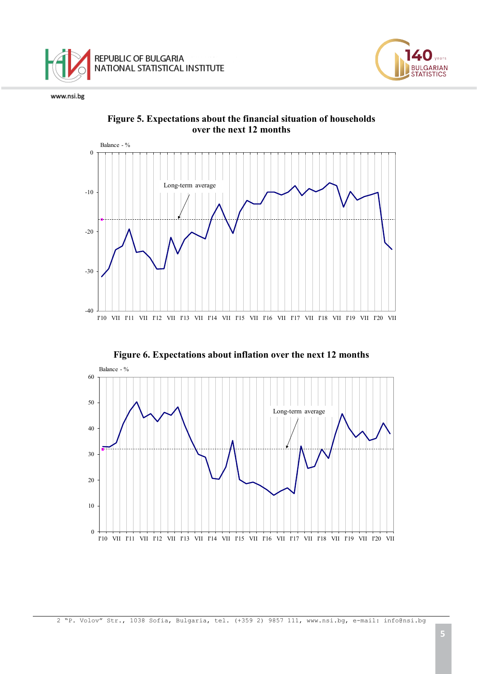

-40

-30

-20

-10

0





I'10 VII I'11 VII I'12 VII I'13 VII I'14 VII I'15 VII I'16 VII I'17 VII I'18 VII I'19 VII I'20 VII

**JLGARIAN**